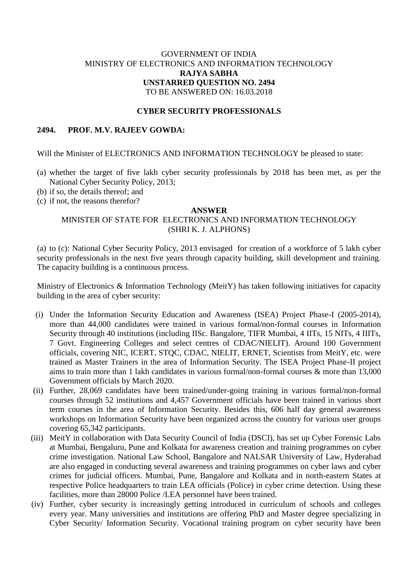# GOVERNMENT OF INDIA MINISTRY OF ELECTRONICS AND INFORMATION TECHNOLOGY **RAJYA SABHA UNSTARRED QUESTION NO. 2494** TO BE ANSWERED ON: 16.03.2018

# **CYBER SECURITY PROFESSIONALS**

### **2494. PROF. M.V. RAJEEV GOWDA:**

Will the Minister of ELECTRONICS AND INFORMATION TECHNOLOGY be pleased to state:

- (a) whether the target of five lakh cyber security professionals by 2018 has been met, as per the National Cyber Security Policy, 2013;
- (b) if so, the details thereof; and
- (c) if not, the reasons therefor?

#### **ANSWER**

# MINISTER OF STATE FOR ELECTRONICS AND INFORMATION TECHNOLOGY (SHRI K. J. ALPHONS)

(a) to (c): National Cyber Security Policy, 2013 envisaged for creation of a workforce of 5 lakh cyber security professionals in the next five years through capacity building, skill development and training. The capacity building is a continuous process.

Ministry of Electronics & Information Technology (MeitY) has taken following initiatives for capacity building in the area of cyber security:

- (i) Under the Information Security Education and Awareness (ISEA) Project Phase-I (2005-2014), more than 44,000 candidates were trained in various formal/non-formal courses in Information Security through 40 institutions (including IISc. Bangalore, TIFR Mumbai, 4 IITs, 15 NITs, 4 IIITs, 7 Govt. Engineering Colleges and select centres of CDAC/NIELIT). Around 100 Government officials, covering NIC, ICERT, STQC, CDAC, NIELIT, ERNET, Scientists from MeitY, etc. were trained as Master Trainers in the area of Information Security. The ISEA Project Phase-II project aims to train more than 1 lakh candidates in various formal/non-formal courses & more than 13,000 Government officials by March 2020.
- (ii) Further, 28,069 candidates have been trained/under-going training in various formal/non-formal courses through 52 institutions and 4,457 Government officials have been trained in various short term courses in the area of Information Security. Besides this, 606 half day general awareness workshops on Information Security have been organized across the country for various user groups covering 65,342 participants.
- (iii) MeitY in collaboration with Data Security Council of India (DSCI), has set up Cyber Forensic Labs at Mumbai, Bengaluru, Pune and Kolkata for awareness creation and training programmes on cyber crime investigation. National Law School, Bangalore and NALSAR University of Law, Hyderabad are also engaged in conducting several awareness and training programmes on cyber laws and cyber crimes for judicial officers. Mumbai, Pune, Bangalore and Kolkata and in north-eastern States at respective Police headquarters to train LEA officials (Police) in cyber crime detection. Using these facilities, more than 28000 Police /LEA personnel have been trained.
- (iv) Further, cyber security is increasingly getting introduced in curriculum of schools and colleges every year. Many universities and institutions are offering PhD and Master degree specializing in Cyber Security/ Information Security. Vocational training program on cyber security have been